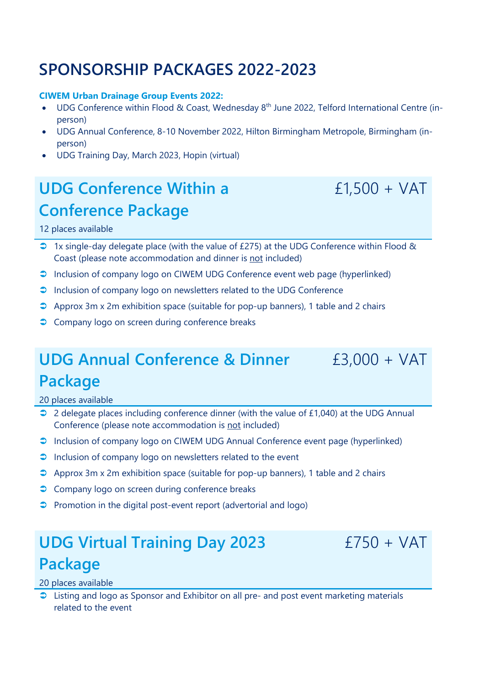# **SPONSORSHIP PACKAGES 2022-2023**

#### **CIWEM Urban Drainage Group Events 2022:**

- UDG Conference within Flood & Coast, Wednesday 8<sup>th</sup> June 2022, Telford International Centre (inperson)
- UDG Annual Conference, 8-10 November 2022, Hilton Birmingham Metropole, Birmingham (inperson)
- UDG Training Day, March 2023, Hopin (virtual)

# **UDG Conference Within a Conference Package**

### £1,500 + VAT

£3,000 + VAT

### 12 places available

- 1x single-day delegate place (with the value of £275) at the UDG Conference within Flood & Coast (please note accommodation and dinner is not included)
- Inclusion of company logo on CIWEM UDG Conference event web page (hyperlinked)
- **Inclusion of company logo on newsletters related to the UDG Conference**
- $\supset$  Approx 3m x 2m exhibition space (suitable for pop-up banners), 1 table and 2 chairs
- **Company logo on screen during conference breaks**

# **UDG Annual Conference & Dinner Package**

20 places available

- 2 delegate places including conference dinner (with the value of £1,040) at the UDG Annual Conference (please note accommodation is not included)
- Inclusion of company logo on CIWEM UDG Annual Conference event page (hyperlinked)
- $\supset$  Inclusion of company logo on newsletters related to the event
- $\supset$  Approx 3m x 2m exhibition space (suitable for pop-up banners), 1 table and 2 chairs
- **Company logo on screen during conference breaks**
- $\supset$  Promotion in the digital post-event report (advertorial and logo)

# **UDG Virtual Training Day 2023 Package**

 $f750 + VAT$ 

20 places available

● Listing and logo as Sponsor and Exhibitor on all pre- and post event marketing materials related to the event